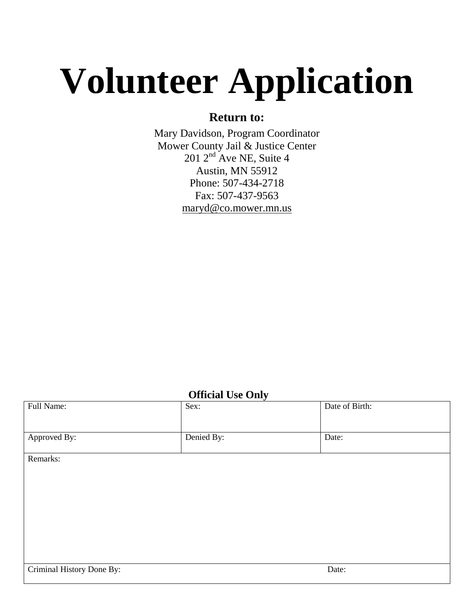# **Volunteer Application**

## **Return to:**

Mary Davidson, Program Coordinator Mower County Jail & Justice Center  $201$   $2<sup>nd</sup>$  Ave NE, Suite 4 Austin, MN 55912 Phone: 507-434-2718 Fax: 507-437-9563 [maryd@co.mower.mn.us](mailto:maryd@co.mower.mn.us)

### **Official Use Only**

| Full Name:                | $\overline{\phantom{a}}$<br>Sex: | Date of Birth: |
|---------------------------|----------------------------------|----------------|
| Approved By:              | Denied By:                       | Date:          |
| Remarks:                  |                                  |                |
|                           |                                  |                |
|                           |                                  |                |
|                           |                                  |                |
|                           |                                  |                |
|                           |                                  |                |
| Criminal History Done By: |                                  | Date:          |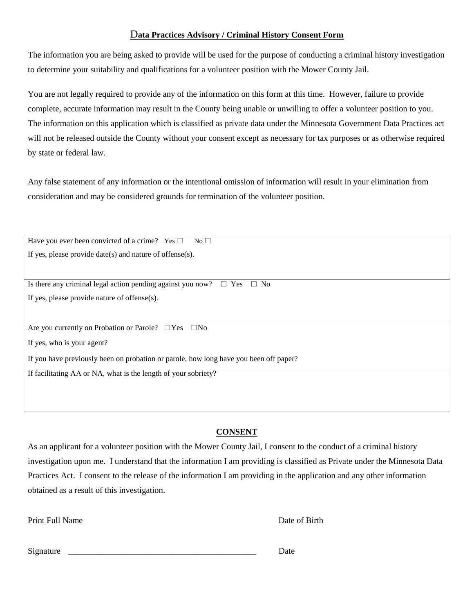#### D**ata Practices Advisory / Criminal History Consent Form**

The information you are being asked to provide will be used for the purpose of conducting a criminal history investigation to determine your suitability and qualifications for a volunteer position with the Mower County Jail.

You are not legally required to provide any of the information on this form at this time. However, failure to provide complete, accurate information may result in the County being unable or unwilling to offer a volunteer position to you. The information on this application which is classified as private data under the Minnesota Government Data Practices act will not be released outside the County without your consent except as necessary for tax purposes or as otherwise required by state or federal law.

Any false statement of any information or the intentional omission of information will result in your elimination from consideration and may be considered grounds for termination of the volunteer position.

Have you ever been convicted of a crime? Yes  $\Box$  No  $\Box$ If yes, please provide date(s) and nature of offense(s).

Is there any criminal legal action pending against you now?  $\Box$  Yes  $\Box$  No If yes, please provide nature of offense(s).

Are you currently on Probation or Parole? □Yes □No

If yes, who is your agent?

If you have previously been on probation or parole, how long have you been off paper?

If facilitating AA or NA, what is the length of your sobriety?

#### **CONSENT**

As an applicant for a volunteer position with the Mower County Jail, I consent to the conduct of a criminal history investigation upon me. I understand that the information I am providing is classified as Private under the Minnesota Data Practices Act. I consent to the release of the information I am providing in the application and any other information obtained as a result of this investigation.

Print Full Name Date of Birth

Signature **Date**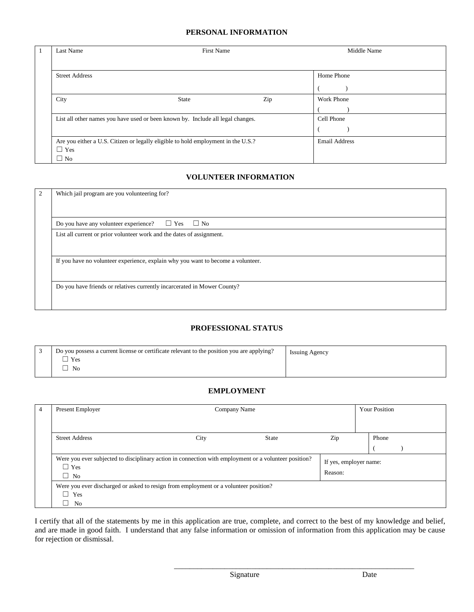#### **PERSONAL INFORMATION**

|  | Last Name                                                                         | <b>First Name</b> |                      | Middle Name       |
|--|-----------------------------------------------------------------------------------|-------------------|----------------------|-------------------|
|  |                                                                                   |                   |                      |                   |
|  | <b>Street Address</b>                                                             |                   |                      | Home Phone        |
|  |                                                                                   |                   |                      |                   |
|  | City                                                                              | <b>State</b>      | Zip                  | <b>Work Phone</b> |
|  |                                                                                   |                   |                      |                   |
|  | List all other names you have used or been known by. Include all legal changes.   |                   |                      | Cell Phone        |
|  |                                                                                   |                   |                      |                   |
|  | Are you either a U.S. Citizen or legally eligible to hold employment in the U.S.? |                   | <b>Email Address</b> |                   |
|  | $\Box$ Yes                                                                        |                   |                      |                   |
|  | $\Box$ No                                                                         |                   |                      |                   |

#### **VOLUNTEER INFORMATION**

| 2 | Which jail program are you volunteering for?                                     |  |  |
|---|----------------------------------------------------------------------------------|--|--|
|   | $\Box$ Yes $\Box$ No<br>Do you have any volunteer experience?                    |  |  |
|   | List all current or prior volunteer work and the dates of assignment.            |  |  |
|   | If you have no volunteer experience, explain why you want to become a volunteer. |  |  |
|   | Do you have friends or relatives currently incarcerated in Mower County?         |  |  |

#### **PROFESSIONAL STATUS**

| Do you possess a current license or certificate relevant to the position you are applying? | <b>Issuing Agency</b> |
|--------------------------------------------------------------------------------------------|-----------------------|
| Yes                                                                                        |                       |
| N <sub>0</sub>                                                                             |                       |

#### **EMPLOYMENT**

| 4 | Present Employer                                                                                                                 | Company Name                                                                         |              |         | <b>Your Position</b>   |  |
|---|----------------------------------------------------------------------------------------------------------------------------------|--------------------------------------------------------------------------------------|--------------|---------|------------------------|--|
|   |                                                                                                                                  |                                                                                      |              |         |                        |  |
|   | <b>Street Address</b>                                                                                                            | City                                                                                 | <b>State</b> | Zip     | Phone                  |  |
|   |                                                                                                                                  |                                                                                      |              |         |                        |  |
|   | Were you ever subjected to disciplinary action in connection with employment or a volunteer position?<br>$\Box$ Yes<br>$\Box$ No |                                                                                      |              | Reason: | If yes, employer name: |  |
|   | $\Box$ Yes<br>$\overline{\phantom{a}}$<br>N <sub>0</sub>                                                                         | Were you ever discharged or asked to resign from employment or a volunteer position? |              |         |                        |  |

I certify that all of the statements by me in this application are true, complete, and correct to the best of my knowledge and belief, and are made in good faith. I understand that any false information or omission of information from this application may be cause for rejection or dismissal.

\_\_\_\_\_\_\_\_\_\_\_\_\_\_\_\_\_\_\_\_\_\_\_\_\_\_\_\_\_\_\_\_\_\_\_\_\_\_\_\_\_\_\_\_\_\_\_\_\_\_\_\_\_\_\_\_\_\_\_\_\_\_